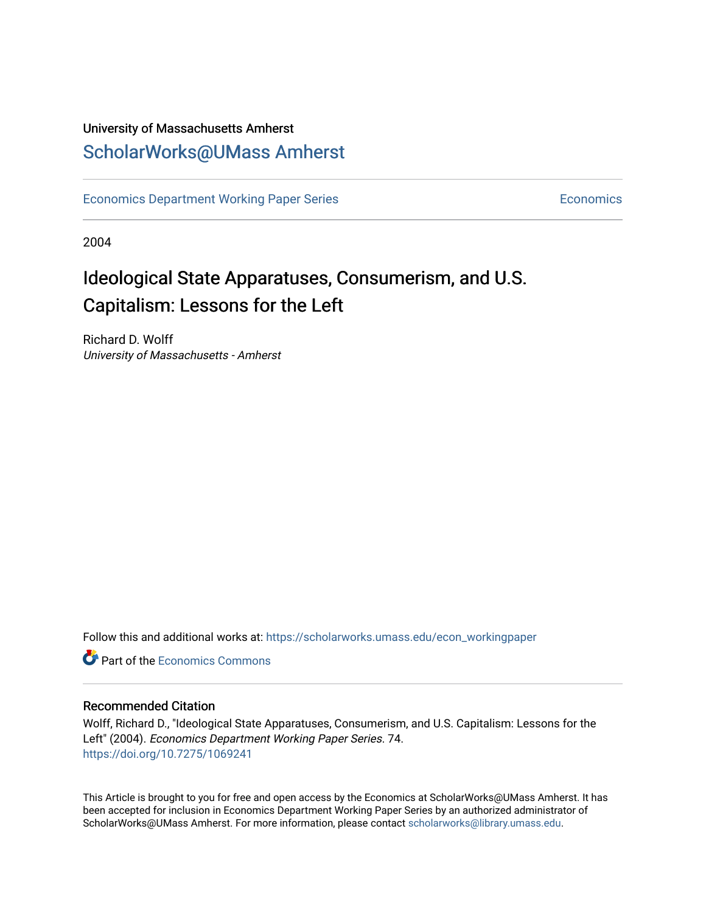# University of Massachusetts Amherst [ScholarWorks@UMass Amherst](https://scholarworks.umass.edu/)

[Economics Department Working Paper Series](https://scholarworks.umass.edu/econ_workingpaper) **Economics** Economics

2004

# Ideological State Apparatuses, Consumerism, and U.S. Capitalism: Lessons for the Left

Richard D. Wolff University of Massachusetts - Amherst

Follow this and additional works at: [https://scholarworks.umass.edu/econ\\_workingpaper](https://scholarworks.umass.edu/econ_workingpaper?utm_source=scholarworks.umass.edu%2Fecon_workingpaper%2F74&utm_medium=PDF&utm_campaign=PDFCoverPages) 

**C** Part of the [Economics Commons](http://network.bepress.com/hgg/discipline/340?utm_source=scholarworks.umass.edu%2Fecon_workingpaper%2F74&utm_medium=PDF&utm_campaign=PDFCoverPages)

#### Recommended Citation

Wolff, Richard D., "Ideological State Apparatuses, Consumerism, and U.S. Capitalism: Lessons for the Left" (2004). Economics Department Working Paper Series. 74. <https://doi.org/10.7275/1069241>

This Article is brought to you for free and open access by the Economics at ScholarWorks@UMass Amherst. It has been accepted for inclusion in Economics Department Working Paper Series by an authorized administrator of ScholarWorks@UMass Amherst. For more information, please contact [scholarworks@library.umass.edu.](mailto:scholarworks@library.umass.edu)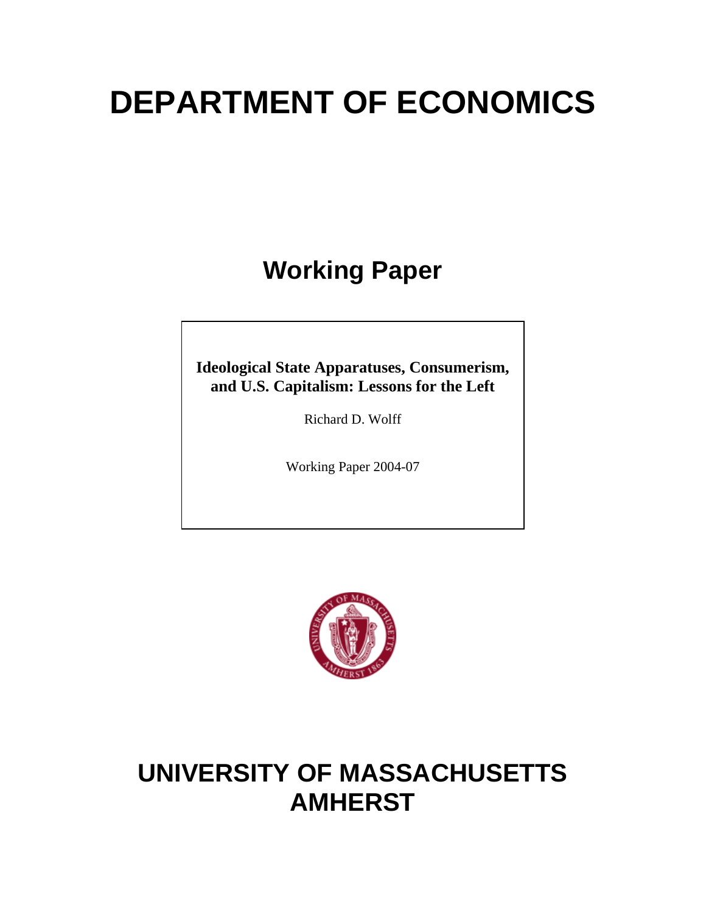# **DEPARTMENT OF ECONOMICS**

**Working Paper** 

**Ideological State Apparatuses, Consumerism, and U.S. Capitalism: Lessons for the Left** 

Richard D. Wolff

Working Paper 2004-07



# **UNIVERSITY OF MASSACHUSETTS AMHERST**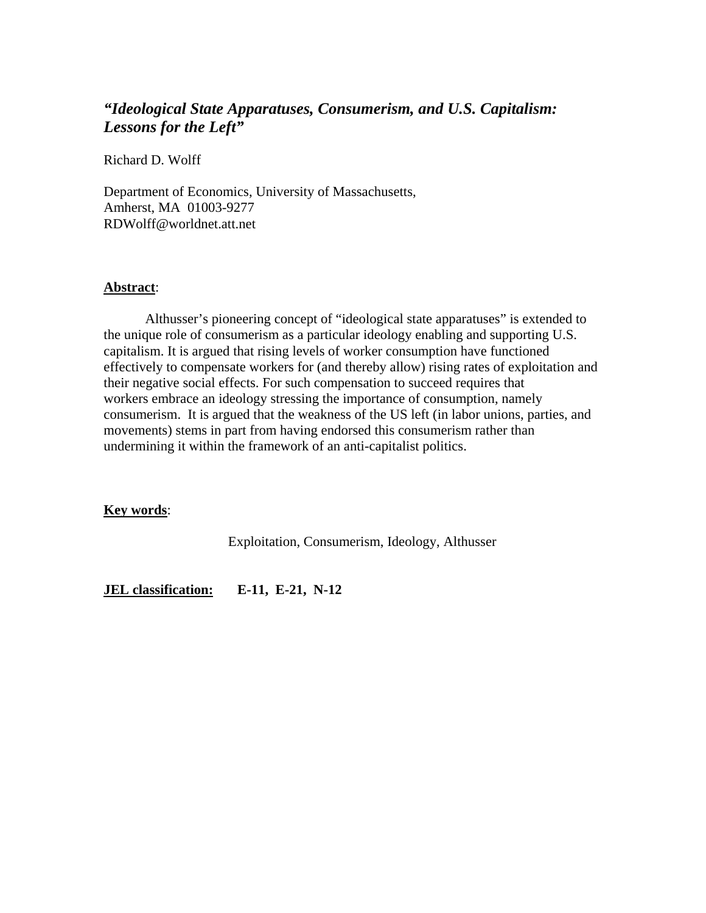## *"Ideological State Apparatuses, Consumerism, and U.S. Capitalism: Lessons for the Left"*

Richard D. Wolff

Department of Economics, University of Massachusetts, Amherst, MA 01003-9277 RDWolff@worldnet.att.net

#### **Abstract**:

 Althusser's pioneering concept of "ideological state apparatuses" is extended to the unique role of consumerism as a particular ideology enabling and supporting U.S. capitalism. It is argued that rising levels of worker consumption have functioned effectively to compensate workers for (and thereby allow) rising rates of exploitation and their negative social effects. For such compensation to succeed requires that workers embrace an ideology stressing the importance of consumption, namely consumerism. It is argued that the weakness of the US left (in labor unions, parties, and movements) stems in part from having endorsed this consumerism rather than undermining it within the framework of an anti-capitalist politics.

#### **Key words**:

Exploitation, Consumerism, Ideology, Althusser

**JEL classification: E-11, E-21, N-12**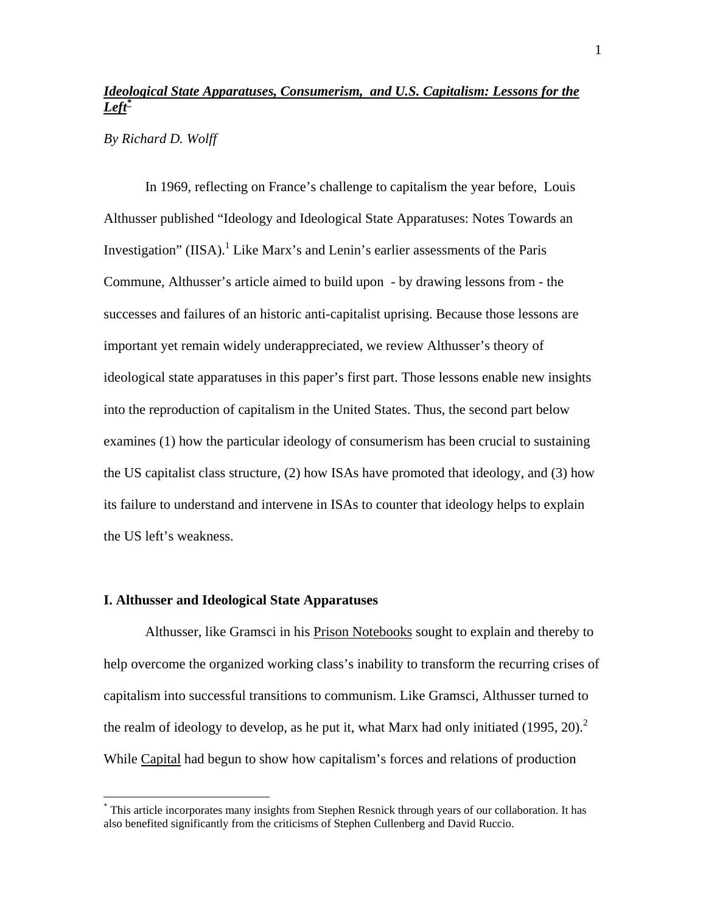## *Ideological State Apparatuses, Consumerism, and U.S. Capitalism: Lessons for the Lef[t\\*](#page-3-0)*

*By Richard D. Wolff* 

 In 1969, reflecting on France's challenge to capitalism the year before, Louis Althusser published "Ideology and Ideological State Apparatuses: Notes Towards an Investigation" (IISA). $<sup>1</sup>$  Like Marx's and Lenin's earlier assessments of the Paris</sup> Commune, Althusser's article aimed to build upon - by drawing lessons from - the successes and failures of an historic anti-capitalist uprising. Because those lessons are important yet remain widely underappreciated, we review Althusser's theory of ideological state apparatuses in this paper's first part. Those lessons enable new insights into the reproduction of capitalism in the United States. Thus, the second part below examines (1) how the particular ideology of consumerism has been crucial to sustaining the US capitalist class structure, (2) how ISAs have promoted that ideology, and (3) how its failure to understand and intervene in ISAs to counter that ideology helps to explain the US left's weakness.

#### **I. Althusser and Ideological State Apparatuses**

1

Althusser, like Gramsci in his Prison Notebooks sought to explain and thereby to help overcome the organized working class's inability to transform the recurring crises of capitalism into successful transitions to communism. Like Gramsci, Althusser turned to the realm of ideology to develop, as he put it, what Marx had only initiated  $(1995, 20)^2$  $(1995, 20)^2$  $(1995, 20)^2$ While Capital had begun to show how capitalism's forces and relations of production

<span id="page-3-0"></span><sup>\*</sup> This article incorporates many insights from Stephen Resnick through years of our collaboration. It has also benefited significantly from the criticisms of Stephen Cullenberg and David Ruccio.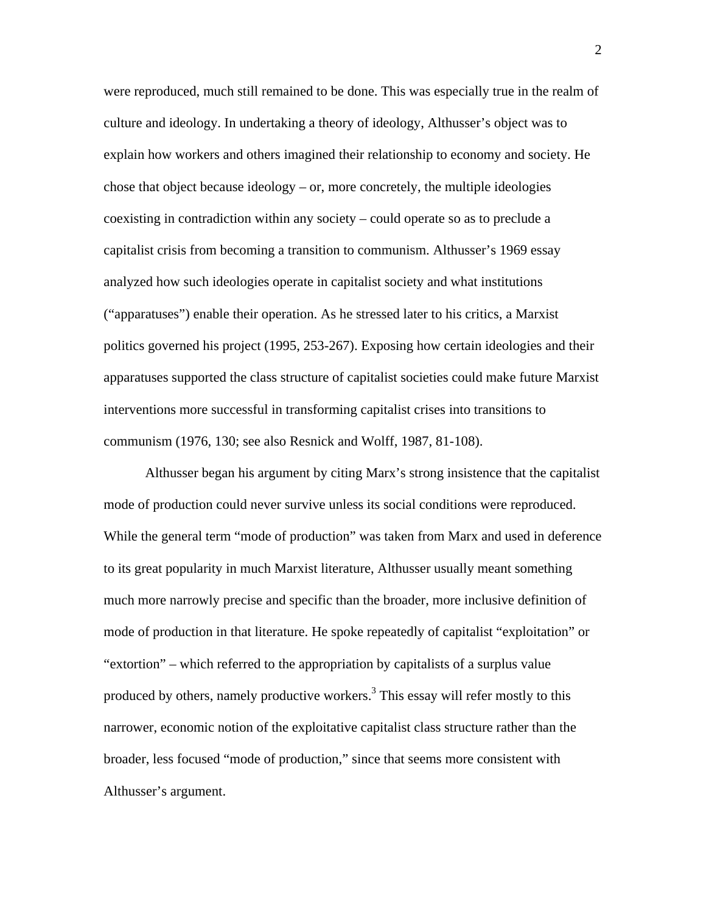were reproduced, much still remained to be done. This was especially true in the realm of culture and ideology. In undertaking a theory of ideology, Althusser's object was to explain how workers and others imagined their relationship to economy and society. He chose that object because ideology – or, more concretely, the multiple ideologies coexisting in contradiction within any society – could operate so as to preclude a capitalist crisis from becoming a transition to communism. Althusser's 1969 essay analyzed how such ideologies operate in capitalist society and what institutions ("apparatuses") enable their operation. As he stressed later to his critics, a Marxist politics governed his project (1995, 253-267). Exposing how certain ideologies and their apparatuses supported the class structure of capitalist societies could make future Marxist interventions more successful in transforming capitalist crises into transitions to communism (1976, 130; see also Resnick and Wolff, 1987, 81-108).

Althusser began his argument by citing Marx's strong insistence that the capitalist mode of production could never survive unless its social conditions were reproduced. While the general term "mode of production" was taken from Marx and used in deference to its great popularity in much Marxist literature, Althusser usually meant something much more narrowly precise and specific than the broader, more inclusive definition of mode of production in that literature. He spoke repeatedly of capitalist "exploitation" or "extortion" – which referred to the appropriation by capitalists of a surplus value produced by others, namely productive workers.<sup>3</sup> This essay will refer mostly to this narrower, economic notion of the exploitative capitalist class structure rather than the broader, less focused "mode of production," since that seems more consistent with Althusser's argument.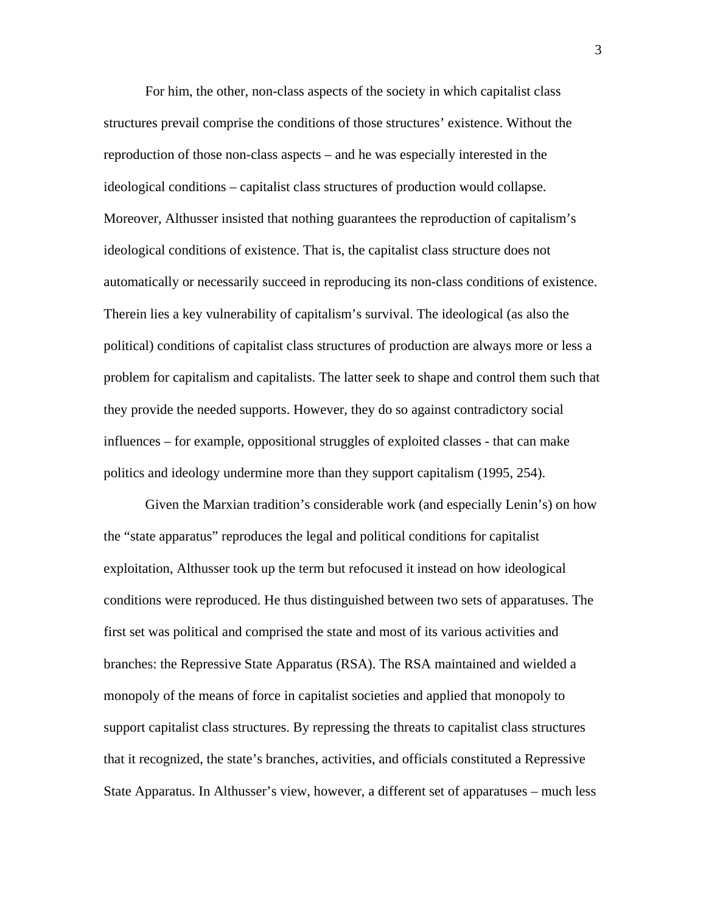For him, the other, non-class aspects of the society in which capitalist class structures prevail comprise the conditions of those structures' existence. Without the reproduction of those non-class aspects – and he was especially interested in the ideological conditions – capitalist class structures of production would collapse. Moreover, Althusser insisted that nothing guarantees the reproduction of capitalism's ideological conditions of existence. That is, the capitalist class structure does not automatically or necessarily succeed in reproducing its non-class conditions of existence. Therein lies a key vulnerability of capitalism's survival. The ideological (as also the political) conditions of capitalist class structures of production are always more or less a problem for capitalism and capitalists. The latter seek to shape and control them such that they provide the needed supports. However, they do so against contradictory social influences – for example, oppositional struggles of exploited classes - that can make politics and ideology undermine more than they support capitalism (1995, 254).

Given the Marxian tradition's considerable work (and especially Lenin's) on how the "state apparatus" reproduces the legal and political conditions for capitalist exploitation, Althusser took up the term but refocused it instead on how ideological conditions were reproduced. He thus distinguished between two sets of apparatuses. The first set was political and comprised the state and most of its various activities and branches: the Repressive State Apparatus (RSA). The RSA maintained and wielded a monopoly of the means of force in capitalist societies and applied that monopoly to support capitalist class structures. By repressing the threats to capitalist class structures that it recognized, the state's branches, activities, and officials constituted a Repressive State Apparatus. In Althusser's view, however, a different set of apparatuses – much less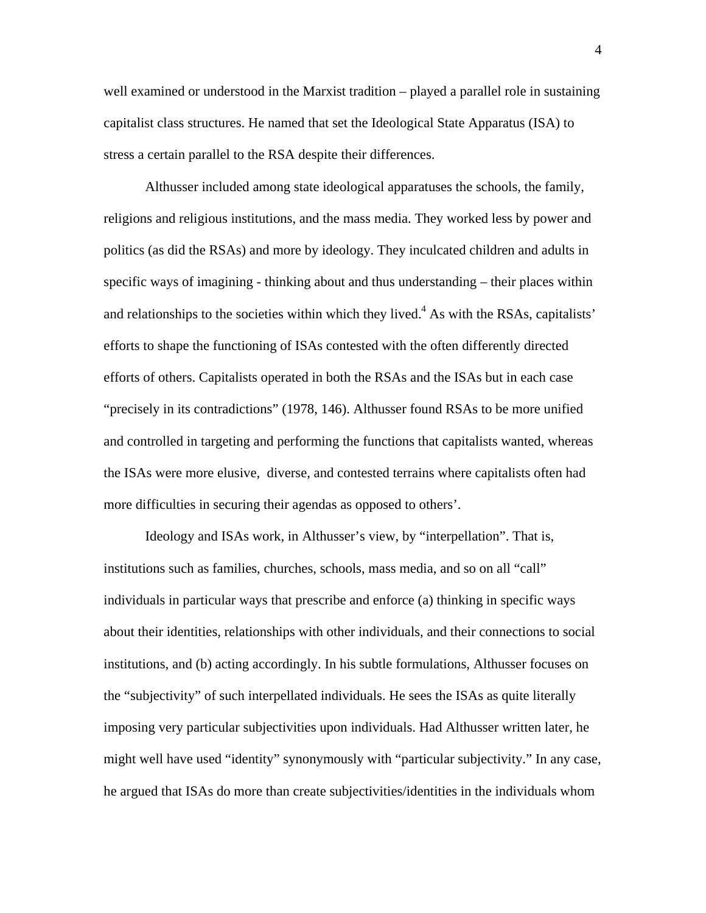well examined or understood in the Marxist tradition – played a parallel role in sustaining capitalist class structures. He named that set the Ideological State Apparatus (ISA) to stress a certain parallel to the RSA despite their differences.

 Althusser included among state ideological apparatuses the schools, the family, religions and religious institutions, and the mass media. They worked less by power and politics (as did the RSAs) and more by ideology. They inculcated children and adults in specific ways of imagining - thinking about and thus understanding – their places within and relationships to the societies within which they lived.<sup>4</sup> As with the RSAs, capitalists' efforts to shape the functioning of ISAs contested with the often differently directed efforts of others. Capitalists operated in both the RSAs and the ISAs but in each case "precisely in its contradictions" (1978, 146). Althusser found RSAs to be more unified and controlled in targeting and performing the functions that capitalists wanted, whereas the ISAs were more elusive, diverse, and contested terrains where capitalists often had more difficulties in securing their agendas as opposed to others'.

 Ideology and ISAs work, in Althusser's view, by "interpellation". That is, institutions such as families, churches, schools, mass media, and so on all "call" individuals in particular ways that prescribe and enforce (a) thinking in specific ways about their identities, relationships with other individuals, and their connections to social institutions, and (b) acting accordingly. In his subtle formulations, Althusser focuses on the "subjectivity" of such interpellated individuals. He sees the ISAs as quite literally imposing very particular subjectivities upon individuals. Had Althusser written later, he might well have used "identity" synonymously with "particular subjectivity." In any case, he argued that ISAs do more than create subjectivities/identities in the individuals whom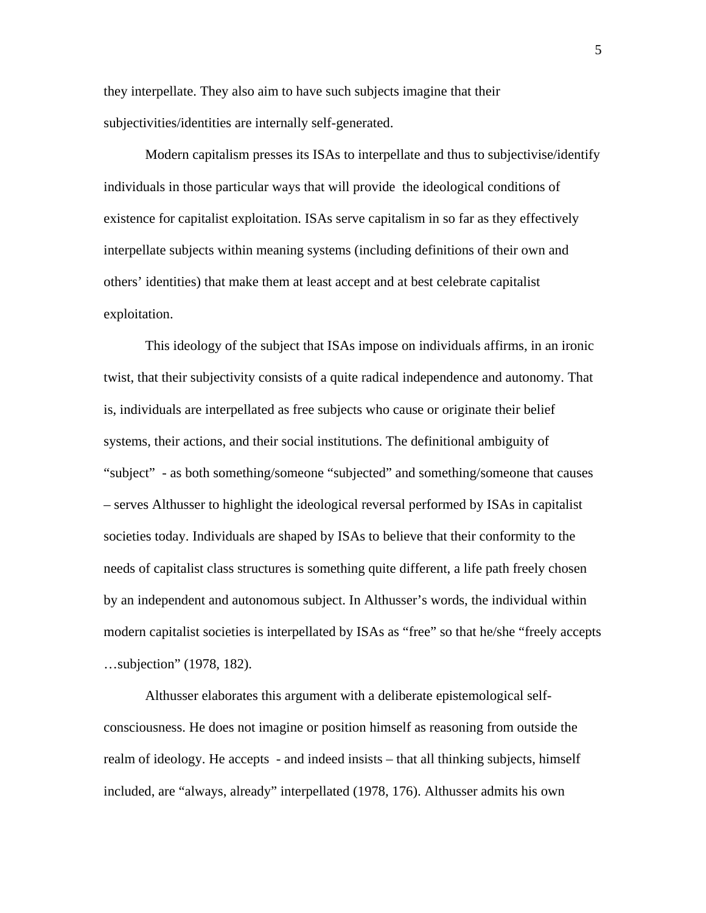they interpellate. They also aim to have such subjects imagine that their subjectivities/identities are internally self-generated.

Modern capitalism presses its ISAs to interpellate and thus to subjectivise/identify individuals in those particular ways that will provide the ideological conditions of existence for capitalist exploitation. ISAs serve capitalism in so far as they effectively interpellate subjects within meaning systems (including definitions of their own and others' identities) that make them at least accept and at best celebrate capitalist exploitation.

 This ideology of the subject that ISAs impose on individuals affirms, in an ironic twist, that their subjectivity consists of a quite radical independence and autonomy. That is, individuals are interpellated as free subjects who cause or originate their belief systems, their actions, and their social institutions. The definitional ambiguity of "subject" - as both something/someone "subjected" and something/someone that causes – serves Althusser to highlight the ideological reversal performed by ISAs in capitalist societies today. Individuals are shaped by ISAs to believe that their conformity to the needs of capitalist class structures is something quite different, a life path freely chosen by an independent and autonomous subject. In Althusser's words, the individual within modern capitalist societies is interpellated by ISAs as "free" so that he/she "freely accepts …subjection" (1978, 182).

 Althusser elaborates this argument with a deliberate epistemological selfconsciousness. He does not imagine or position himself as reasoning from outside the realm of ideology. He accepts - and indeed insists – that all thinking subjects, himself included, are "always, already" interpellated (1978, 176). Althusser admits his own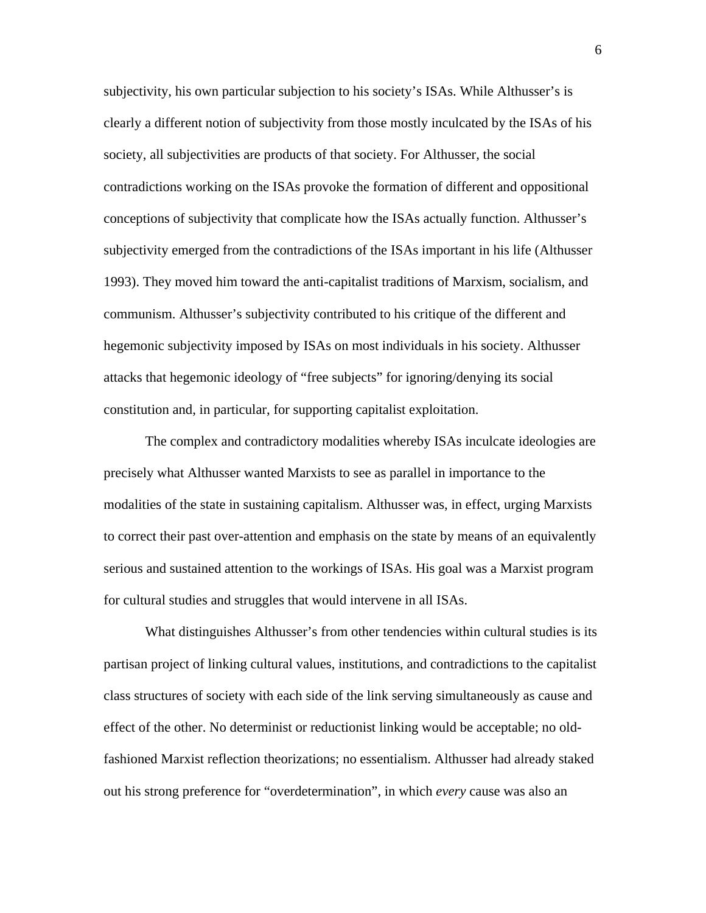subjectivity, his own particular subjection to his society's ISAs. While Althusser's is clearly a different notion of subjectivity from those mostly inculcated by the ISAs of his society, all subjectivities are products of that society. For Althusser, the social contradictions working on the ISAs provoke the formation of different and oppositional conceptions of subjectivity that complicate how the ISAs actually function. Althusser's subjectivity emerged from the contradictions of the ISAs important in his life (Althusser 1993). They moved him toward the anti-capitalist traditions of Marxism, socialism, and communism. Althusser's subjectivity contributed to his critique of the different and hegemonic subjectivity imposed by ISAs on most individuals in his society. Althusser attacks that hegemonic ideology of "free subjects" for ignoring/denying its social constitution and, in particular, for supporting capitalist exploitation.

 The complex and contradictory modalities whereby ISAs inculcate ideologies are precisely what Althusser wanted Marxists to see as parallel in importance to the modalities of the state in sustaining capitalism. Althusser was, in effect, urging Marxists to correct their past over-attention and emphasis on the state by means of an equivalently serious and sustained attention to the workings of ISAs. His goal was a Marxist program for cultural studies and struggles that would intervene in all ISAs.

 What distinguishes Althusser's from other tendencies within cultural studies is its partisan project of linking cultural values, institutions, and contradictions to the capitalist class structures of society with each side of the link serving simultaneously as cause and effect of the other. No determinist or reductionist linking would be acceptable; no oldfashioned Marxist reflection theorizations; no essentialism. Althusser had already staked out his strong preference for "overdetermination", in which *every* cause was also an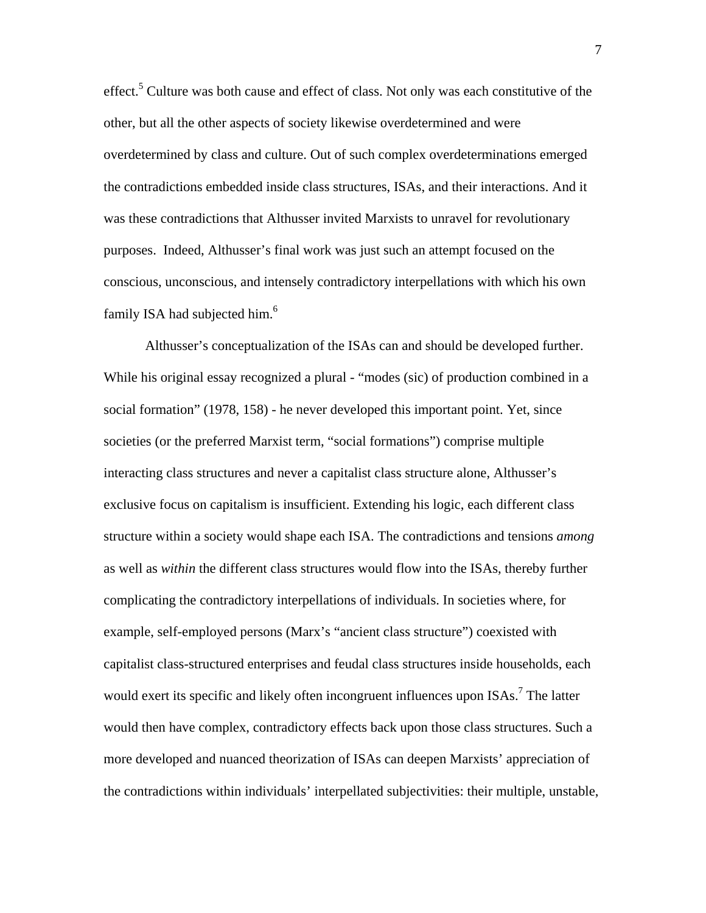effect.<sup>5</sup> Culture was both cause and effect of class. Not only was each constitutive of the other, but all the other aspects of society likewise overdetermined and were overdetermined by class and culture. Out of such complex overdeterminations emerged the contradictions embedded inside class structures, ISAs, and their interactions. And it was these contradictions that Althusser invited Marxists to unravel for revolutionary purposes. Indeed, Althusser's final work was just such an attempt focused on the conscious, unconscious, and intensely contradictory interpellations with which his own family ISA had subjected him.<sup>[6](#page-25-5)</sup>

 Althusser's conceptualization of the ISAs can and should be developed further. While his original essay recognized a plural - "modes (sic) of production combined in a social formation" (1978, 158) - he never developed this important point. Yet, since societies (or the preferred Marxist term, "social formations") comprise multiple interacting class structures and never a capitalist class structure alone, Althusser's exclusive focus on capitalism is insufficient. Extending his logic, each different class structure within a society would shape each ISA. The contradictions and tensions *among*  as well as *within* the different class structures would flow into the ISAs, thereby further complicating the contradictory interpellations of individuals. In societies where, for example, self-employed persons (Marx's "ancient class structure") coexisted with capitalist class-structured enterprises and feudal class structures inside households, each would exert its specific and likely often incongruent influences upon  $ISAs.<sup>7</sup>$  The latter would then have complex, contradictory effects back upon those class structures. Such a more developed and nuanced theorization of ISAs can deepen Marxists' appreciation of the contradictions within individuals' interpellated subjectivities: their multiple, unstable,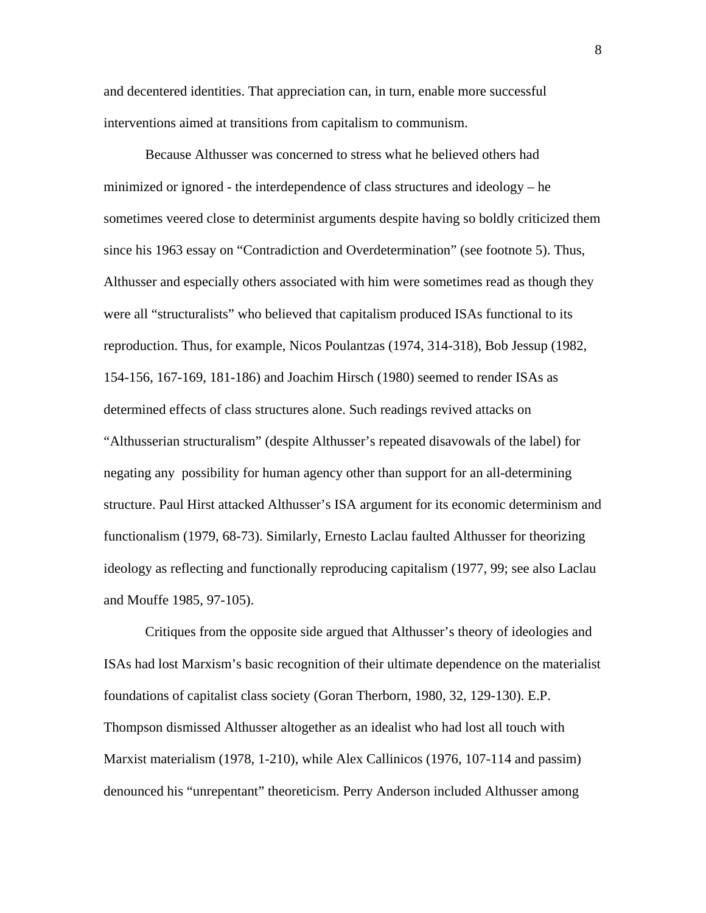and decentered identities. That appreciation can, in turn, enable more successful interventions aimed at transitions from capitalism to communism.

Because Althusser was concerned to stress what he believed others had minimized or ignored - the interdependence of class structures and ideology – he sometimes veered close to determinist arguments despite having so boldly criticized them since his 1963 essay on "Contradiction and Overdetermination" (see footnote 5). Thus, Althusser and especially others associated with him were sometimes read as though they were all "structuralists" who believed that capitalism produced ISAs functional to its reproduction. Thus, for example, Nicos Poulantzas (1974, 314-318), Bob Jessup (1982, 154-156, 167-169, 181-186) and Joachim Hirsch (1980) seemed to render ISAs as determined effects of class structures alone. Such readings revived attacks on "Althusserian structuralism" (despite Althusser's repeated disavowals of the label) for negating any possibility for human agency other than support for an all-determining structure. Paul Hirst attacked Althusser's ISA argument for its economic determinism and functionalism (1979, 68-73). Similarly, Ernesto Laclau faulted Althusser for theorizing ideology as reflecting and functionally reproducing capitalism (1977, 99; see also Laclau and Mouffe 1985, 97-105).

Critiques from the opposite side argued that Althusser's theory of ideologies and ISAs had lost Marxism's basic recognition of their ultimate dependence on the materialist foundations of capitalist class society (Goran Therborn, 1980, 32, 129-130). E.P. Thompson dismissed Althusser altogether as an idealist who had lost all touch with Marxist materialism (1978, 1-210), while Alex Callinicos (1976, 107-114 and passim) denounced his "unrepentant" theoreticism. Perry Anderson included Althusser among

8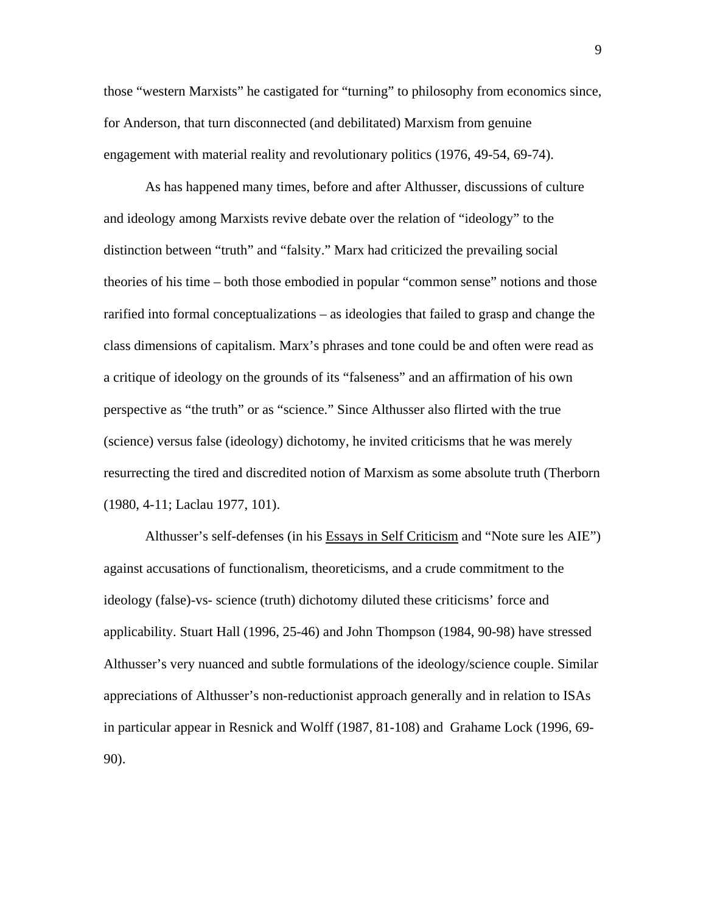those "western Marxists" he castigated for "turning" to philosophy from economics since, for Anderson, that turn disconnected (and debilitated) Marxism from genuine engagement with material reality and revolutionary politics (1976, 49-54, 69-74).

As has happened many times, before and after Althusser, discussions of culture and ideology among Marxists revive debate over the relation of "ideology" to the distinction between "truth" and "falsity." Marx had criticized the prevailing social theories of his time – both those embodied in popular "common sense" notions and those rarified into formal conceptualizations – as ideologies that failed to grasp and change the class dimensions of capitalism. Marx's phrases and tone could be and often were read as a critique of ideology on the grounds of its "falseness" and an affirmation of his own perspective as "the truth" or as "science." Since Althusser also flirted with the true (science) versus false (ideology) dichotomy, he invited criticisms that he was merely resurrecting the tired and discredited notion of Marxism as some absolute truth (Therborn (1980, 4-11; Laclau 1977, 101).

Althusser's self-defenses (in his Essays in Self Criticism and "Note sure les AIE") against accusations of functionalism, theoreticisms, and a crude commitment to the ideology (false)-vs- science (truth) dichotomy diluted these criticisms' force and applicability. Stuart Hall (1996, 25-46) and John Thompson (1984, 90-98) have stressed Althusser's very nuanced and subtle formulations of the ideology/science couple. Similar appreciations of Althusser's non-reductionist approach generally and in relation to ISAs in particular appear in Resnick and Wolff (1987, 81-108) and Grahame Lock (1996, 69- 90).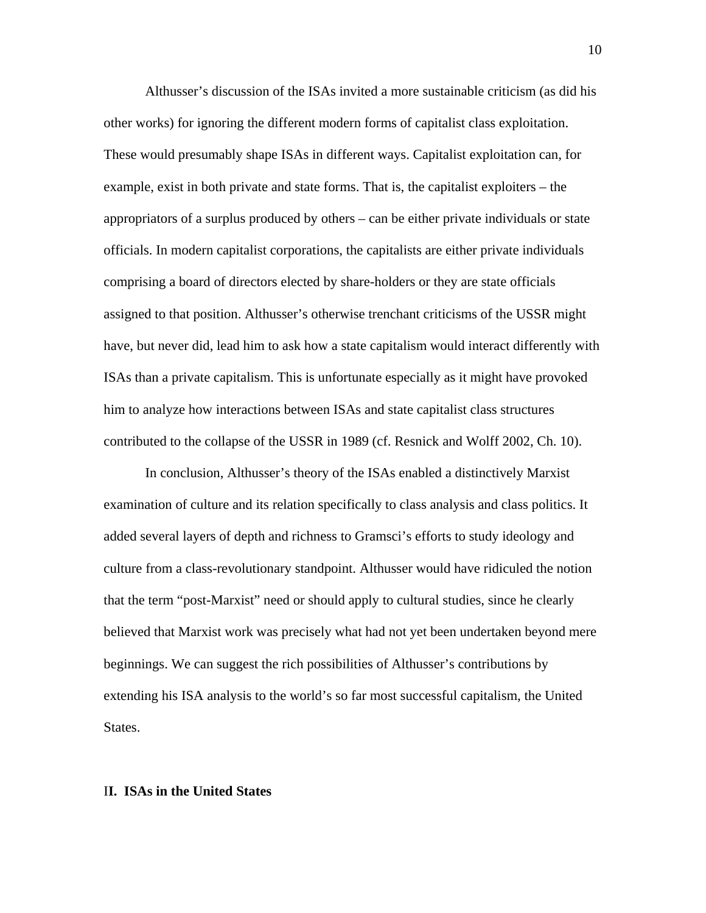Althusser's discussion of the ISAs invited a more sustainable criticism (as did his other works) for ignoring the different modern forms of capitalist class exploitation. These would presumably shape ISAs in different ways. Capitalist exploitation can, for example, exist in both private and state forms. That is, the capitalist exploiters – the appropriators of a surplus produced by others – can be either private individuals or state officials. In modern capitalist corporations, the capitalists are either private individuals comprising a board of directors elected by share-holders or they are state officials assigned to that position. Althusser's otherwise trenchant criticisms of the USSR might have, but never did, lead him to ask how a state capitalism would interact differently with ISAs than a private capitalism. This is unfortunate especially as it might have provoked him to analyze how interactions between ISAs and state capitalist class structures contributed to the collapse of the USSR in 1989 (cf. Resnick and Wolff 2002, Ch. 10).

In conclusion, Althusser's theory of the ISAs enabled a distinctively Marxist examination of culture and its relation specifically to class analysis and class politics. It added several layers of depth and richness to Gramsci's efforts to study ideology and culture from a class-revolutionary standpoint. Althusser would have ridiculed the notion that the term "post-Marxist" need or should apply to cultural studies, since he clearly believed that Marxist work was precisely what had not yet been undertaken beyond mere beginnings. We can suggest the rich possibilities of Althusser's contributions by extending his ISA analysis to the world's so far most successful capitalism, the United States.

#### I**I. ISAs in the United States**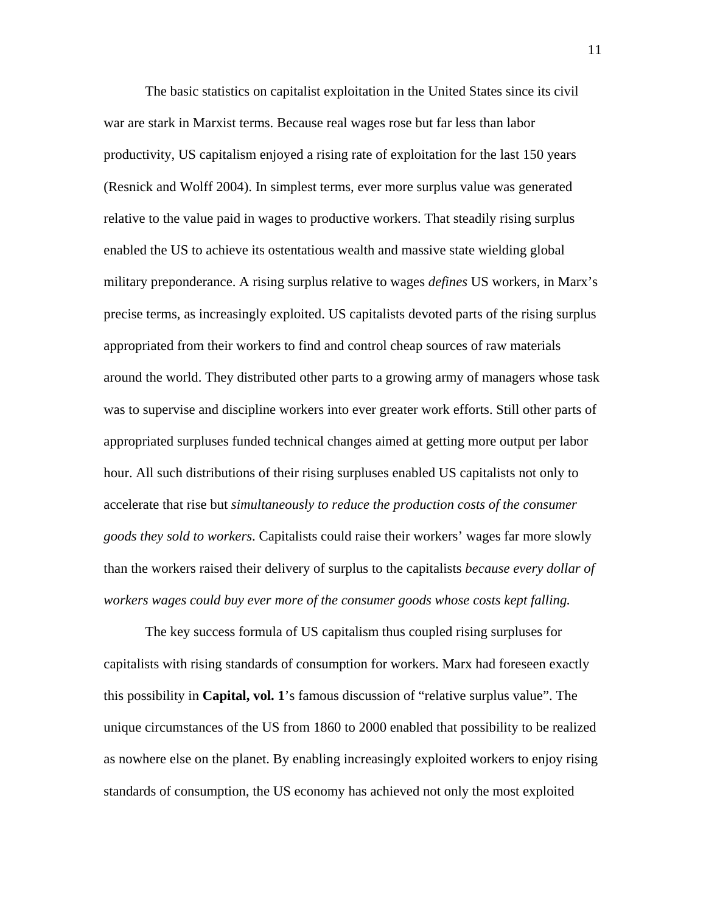The basic statistics on capitalist exploitation in the United States since its civil war are stark in Marxist terms. Because real wages rose but far less than labor productivity, US capitalism enjoyed a rising rate of exploitation for the last 150 years (Resnick and Wolff 2004). In simplest terms, ever more surplus value was generated relative to the value paid in wages to productive workers. That steadily rising surplus enabled the US to achieve its ostentatious wealth and massive state wielding global military preponderance. A rising surplus relative to wages *defines* US workers, in Marx's precise terms, as increasingly exploited. US capitalists devoted parts of the rising surplus appropriated from their workers to find and control cheap sources of raw materials around the world. They distributed other parts to a growing army of managers whose task was to supervise and discipline workers into ever greater work efforts. Still other parts of appropriated surpluses funded technical changes aimed at getting more output per labor hour. All such distributions of their rising surpluses enabled US capitalists not only to accelerate that rise but *simultaneously to reduce the production costs of the consumer goods they sold to workers*. Capitalists could raise their workers' wages far more slowly than the workers raised their delivery of surplus to the capitalists *because every dollar of workers wages could buy ever more of the consumer goods whose costs kept falling.*

The key success formula of US capitalism thus coupled rising surpluses for capitalists with rising standards of consumption for workers. Marx had foreseen exactly this possibility in **Capital, vol. 1**'s famous discussion of "relative surplus value". The unique circumstances of the US from 1860 to 2000 enabled that possibility to be realized as nowhere else on the planet. By enabling increasingly exploited workers to enjoy rising standards of consumption, the US economy has achieved not only the most exploited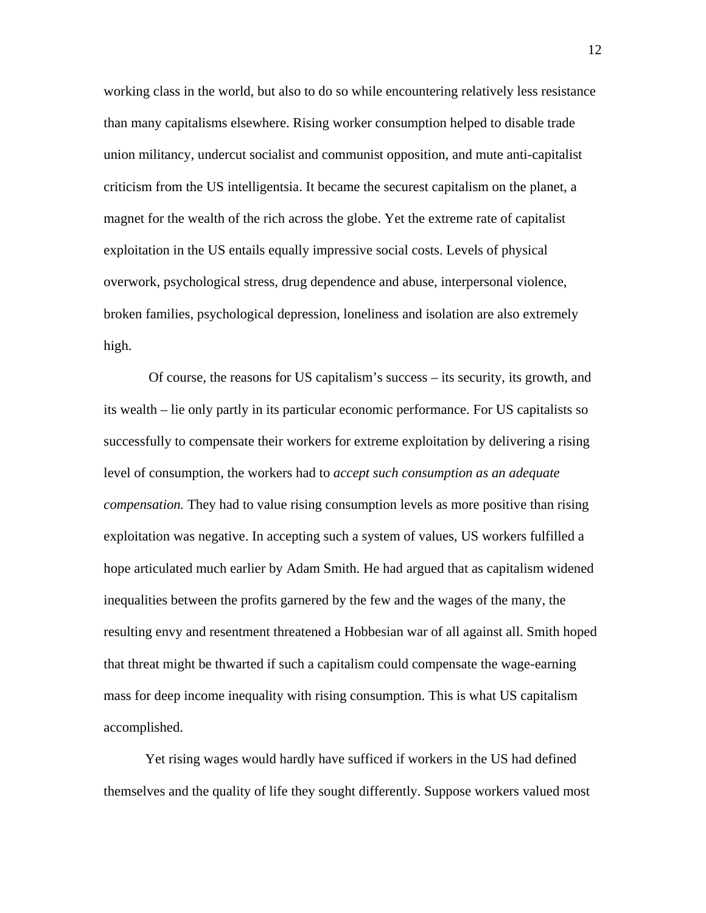working class in the world, but also to do so while encountering relatively less resistance than many capitalisms elsewhere. Rising worker consumption helped to disable trade union militancy, undercut socialist and communist opposition, and mute anti-capitalist criticism from the US intelligentsia. It became the securest capitalism on the planet, a magnet for the wealth of the rich across the globe. Yet the extreme rate of capitalist exploitation in the US entails equally impressive social costs. Levels of physical overwork, psychological stress, drug dependence and abuse, interpersonal violence, broken families, psychological depression, loneliness and isolation are also extremely high.

 Of course, the reasons for US capitalism's success – its security, its growth, and its wealth – lie only partly in its particular economic performance. For US capitalists so successfully to compensate their workers for extreme exploitation by delivering a rising level of consumption, the workers had to *accept such consumption as an adequate compensation.* They had to value rising consumption levels as more positive than rising exploitation was negative. In accepting such a system of values, US workers fulfilled a hope articulated much earlier by Adam Smith. He had argued that as capitalism widened inequalities between the profits garnered by the few and the wages of the many, the resulting envy and resentment threatened a Hobbesian war of all against all. Smith hoped that threat might be thwarted if such a capitalism could compensate the wage-earning mass for deep income inequality with rising consumption. This is what US capitalism accomplished.

Yet rising wages would hardly have sufficed if workers in the US had defined themselves and the quality of life they sought differently. Suppose workers valued most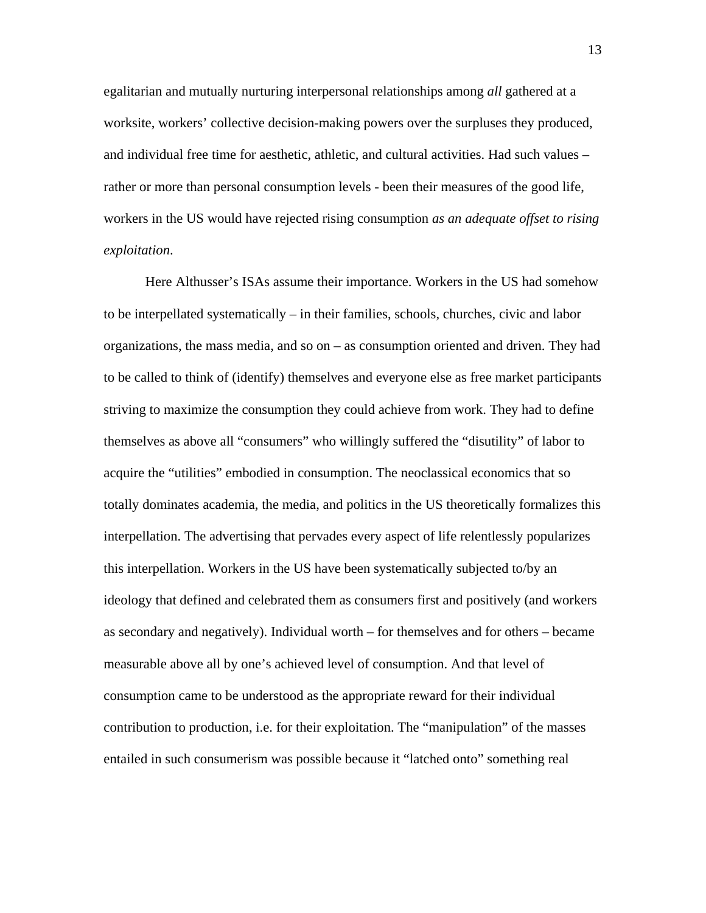egalitarian and mutually nurturing interpersonal relationships among *all* gathered at a worksite, workers' collective decision-making powers over the surpluses they produced, and individual free time for aesthetic, athletic, and cultural activities. Had such values – rather or more than personal consumption levels - been their measures of the good life, workers in the US would have rejected rising consumption *as an adequate offset to rising exploitation*.

Here Althusser's ISAs assume their importance. Workers in the US had somehow to be interpellated systematically – in their families, schools, churches, civic and labor organizations, the mass media, and so on – as consumption oriented and driven. They had to be called to think of (identify) themselves and everyone else as free market participants striving to maximize the consumption they could achieve from work. They had to define themselves as above all "consumers" who willingly suffered the "disutility" of labor to acquire the "utilities" embodied in consumption. The neoclassical economics that so totally dominates academia, the media, and politics in the US theoretically formalizes this interpellation. The advertising that pervades every aspect of life relentlessly popularizes this interpellation. Workers in the US have been systematically subjected to/by an ideology that defined and celebrated them as consumers first and positively (and workers as secondary and negatively). Individual worth – for themselves and for others – became measurable above all by one's achieved level of consumption. And that level of consumption came to be understood as the appropriate reward for their individual contribution to production, i.e. for their exploitation. The "manipulation" of the masses entailed in such consumerism was possible because it "latched onto" something real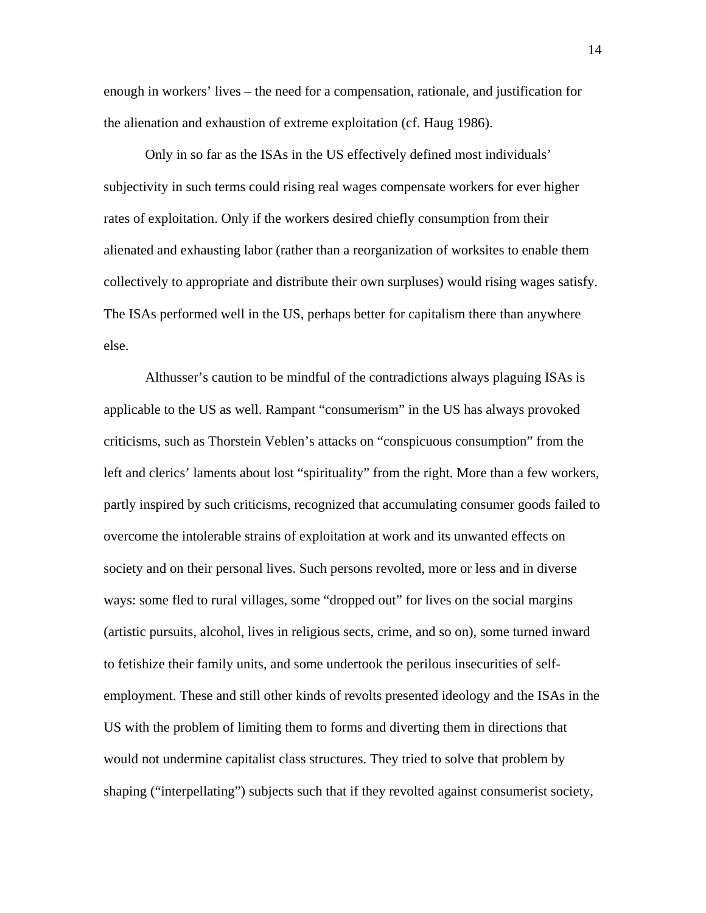enough in workers' lives – the need for a compensation, rationale, and justification for the alienation and exhaustion of extreme exploitation (cf. Haug 1986).

Only in so far as the ISAs in the US effectively defined most individuals' subjectivity in such terms could rising real wages compensate workers for ever higher rates of exploitation. Only if the workers desired chiefly consumption from their alienated and exhausting labor (rather than a reorganization of worksites to enable them collectively to appropriate and distribute their own surpluses) would rising wages satisfy. The ISAs performed well in the US, perhaps better for capitalism there than anywhere else.

Althusser's caution to be mindful of the contradictions always plaguing ISAs is applicable to the US as well. Rampant "consumerism" in the US has always provoked criticisms, such as Thorstein Veblen's attacks on "conspicuous consumption" from the left and clerics' laments about lost "spirituality" from the right. More than a few workers, partly inspired by such criticisms, recognized that accumulating consumer goods failed to overcome the intolerable strains of exploitation at work and its unwanted effects on society and on their personal lives. Such persons revolted, more or less and in diverse ways: some fled to rural villages, some "dropped out" for lives on the social margins (artistic pursuits, alcohol, lives in religious sects, crime, and so on), some turned inward to fetishize their family units, and some undertook the perilous insecurities of selfemployment. These and still other kinds of revolts presented ideology and the ISAs in the US with the problem of limiting them to forms and diverting them in directions that would not undermine capitalist class structures. They tried to solve that problem by shaping ("interpellating") subjects such that if they revolted against consumerist society,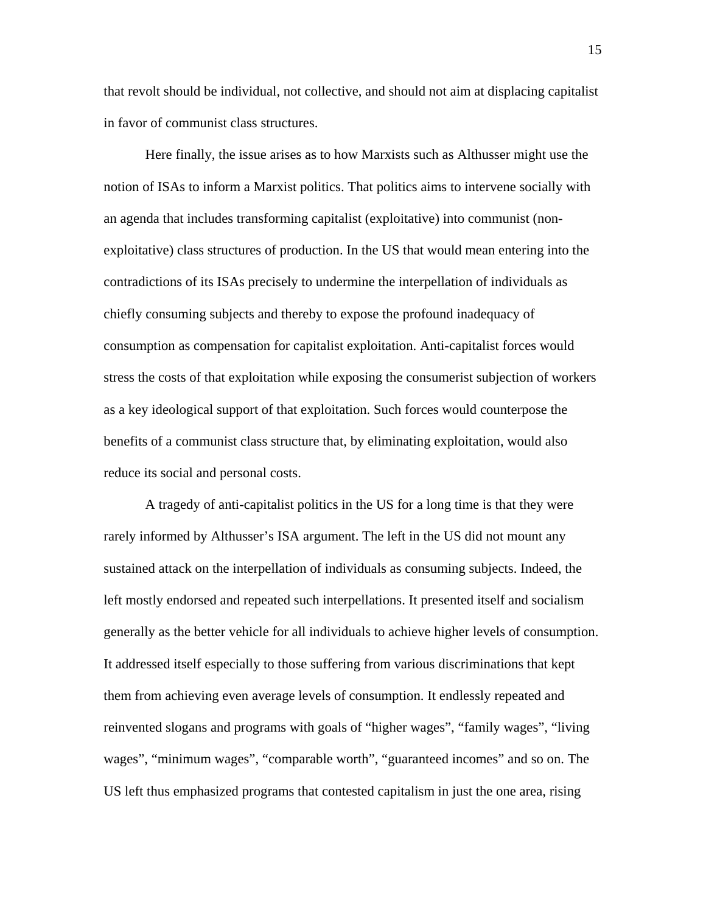that revolt should be individual, not collective, and should not aim at displacing capitalist in favor of communist class structures.

 Here finally, the issue arises as to how Marxists such as Althusser might use the notion of ISAs to inform a Marxist politics. That politics aims to intervene socially with an agenda that includes transforming capitalist (exploitative) into communist (nonexploitative) class structures of production. In the US that would mean entering into the contradictions of its ISAs precisely to undermine the interpellation of individuals as chiefly consuming subjects and thereby to expose the profound inadequacy of consumption as compensation for capitalist exploitation. Anti-capitalist forces would stress the costs of that exploitation while exposing the consumerist subjection of workers as a key ideological support of that exploitation. Such forces would counterpose the benefits of a communist class structure that, by eliminating exploitation, would also reduce its social and personal costs.

 A tragedy of anti-capitalist politics in the US for a long time is that they were rarely informed by Althusser's ISA argument. The left in the US did not mount any sustained attack on the interpellation of individuals as consuming subjects. Indeed, the left mostly endorsed and repeated such interpellations. It presented itself and socialism generally as the better vehicle for all individuals to achieve higher levels of consumption. It addressed itself especially to those suffering from various discriminations that kept them from achieving even average levels of consumption. It endlessly repeated and reinvented slogans and programs with goals of "higher wages", "family wages", "living wages", "minimum wages", "comparable worth", "guaranteed incomes" and so on. The US left thus emphasized programs that contested capitalism in just the one area, rising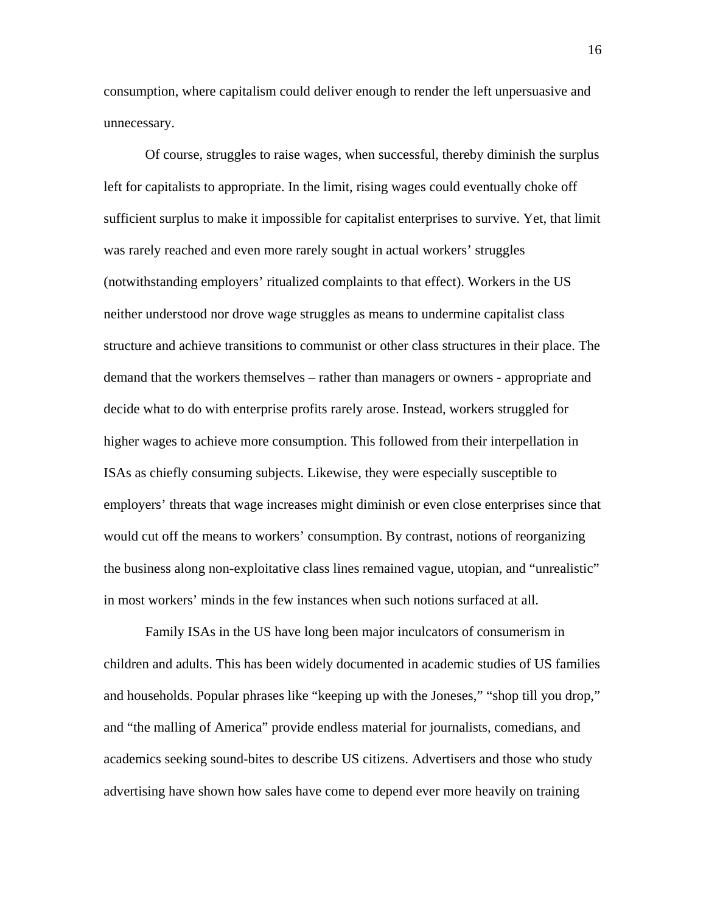consumption, where capitalism could deliver enough to render the left unpersuasive and unnecessary.

Of course, struggles to raise wages, when successful, thereby diminish the surplus left for capitalists to appropriate. In the limit, rising wages could eventually choke off sufficient surplus to make it impossible for capitalist enterprises to survive. Yet, that limit was rarely reached and even more rarely sought in actual workers' struggles (notwithstanding employers' ritualized complaints to that effect). Workers in the US neither understood nor drove wage struggles as means to undermine capitalist class structure and achieve transitions to communist or other class structures in their place. The demand that the workers themselves – rather than managers or owners - appropriate and decide what to do with enterprise profits rarely arose. Instead, workers struggled for higher wages to achieve more consumption. This followed from their interpellation in ISAs as chiefly consuming subjects. Likewise, they were especially susceptible to employers' threats that wage increases might diminish or even close enterprises since that would cut off the means to workers' consumption. By contrast, notions of reorganizing the business along non-exploitative class lines remained vague, utopian, and "unrealistic" in most workers' minds in the few instances when such notions surfaced at all.

 Family ISAs in the US have long been major inculcators of consumerism in children and adults. This has been widely documented in academic studies of US families and households. Popular phrases like "keeping up with the Joneses," "shop till you drop," and "the malling of America" provide endless material for journalists, comedians, and academics seeking sound-bites to describe US citizens. Advertisers and those who study advertising have shown how sales have come to depend ever more heavily on training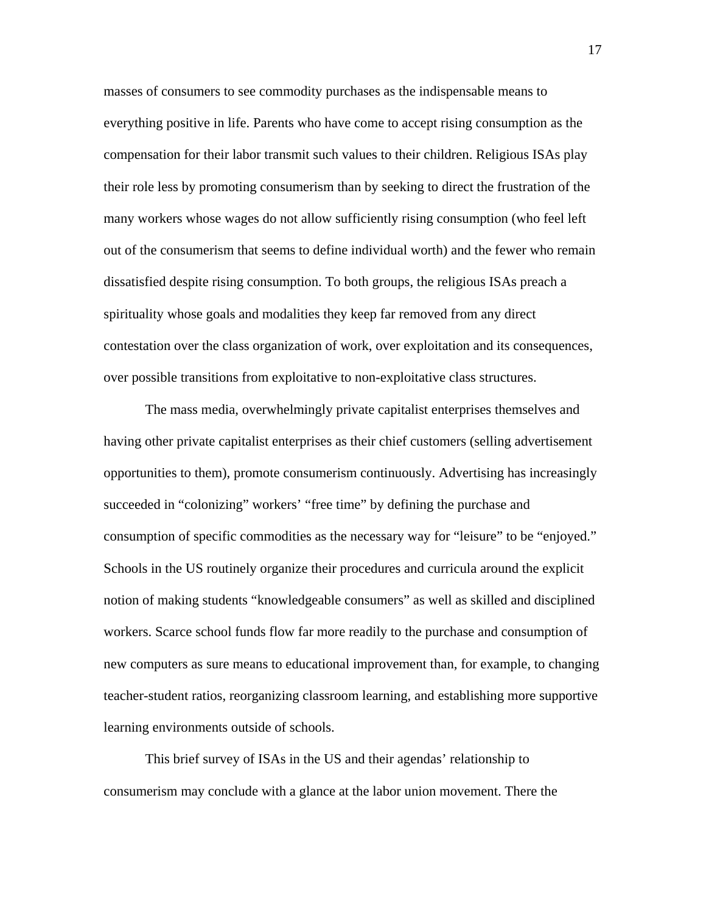masses of consumers to see commodity purchases as the indispensable means to everything positive in life. Parents who have come to accept rising consumption as the compensation for their labor transmit such values to their children. Religious ISAs play their role less by promoting consumerism than by seeking to direct the frustration of the many workers whose wages do not allow sufficiently rising consumption (who feel left out of the consumerism that seems to define individual worth) and the fewer who remain dissatisfied despite rising consumption. To both groups, the religious ISAs preach a spirituality whose goals and modalities they keep far removed from any direct contestation over the class organization of work, over exploitation and its consequences, over possible transitions from exploitative to non-exploitative class structures.

The mass media, overwhelmingly private capitalist enterprises themselves and having other private capitalist enterprises as their chief customers (selling advertisement opportunities to them), promote consumerism continuously. Advertising has increasingly succeeded in "colonizing" workers' "free time" by defining the purchase and consumption of specific commodities as the necessary way for "leisure" to be "enjoyed." Schools in the US routinely organize their procedures and curricula around the explicit notion of making students "knowledgeable consumers" as well as skilled and disciplined workers. Scarce school funds flow far more readily to the purchase and consumption of new computers as sure means to educational improvement than, for example, to changing teacher-student ratios, reorganizing classroom learning, and establishing more supportive learning environments outside of schools.

This brief survey of ISAs in the US and their agendas' relationship to consumerism may conclude with a glance at the labor union movement. There the 17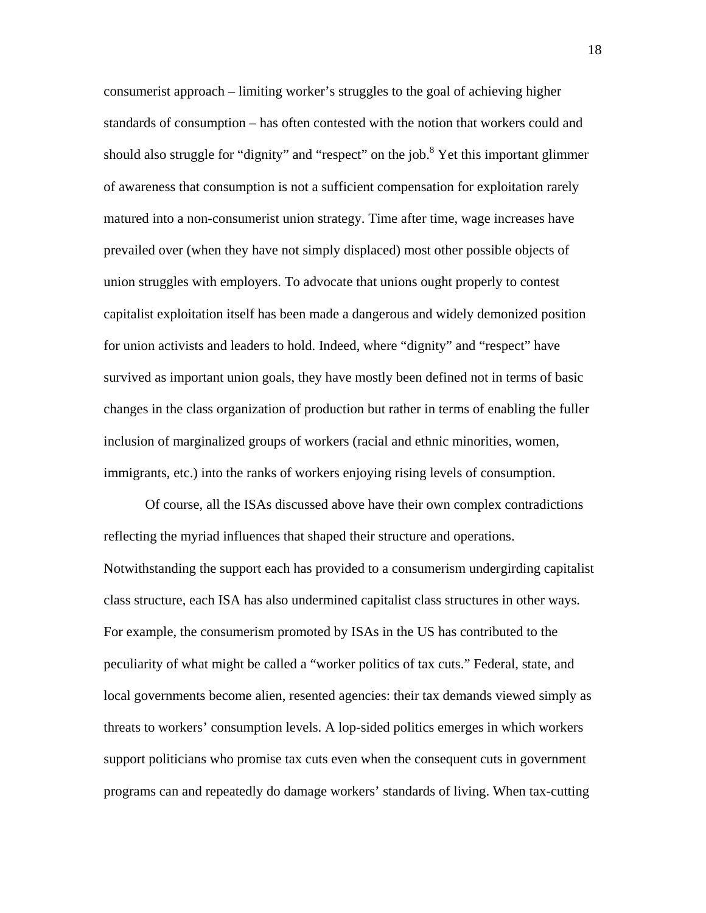consumerist approach – limiting worker's struggles to the goal of achieving higher standards of consumption – has often contested with the notion that workers could and should also struggle for "dignity" and "respect" on the job.<sup>8</sup> Yet this important glimmer of awareness that consumption is not a sufficient compensation for exploitation rarely matured into a non-consumerist union strategy. Time after time, wage increases have prevailed over (when they have not simply displaced) most other possible objects of union struggles with employers. To advocate that unions ought properly to contest capitalist exploitation itself has been made a dangerous and widely demonized position for union activists and leaders to hold. Indeed, where "dignity" and "respect" have survived as important union goals, they have mostly been defined not in terms of basic changes in the class organization of production but rather in terms of enabling the fuller inclusion of marginalized groups of workers (racial and ethnic minorities, women, immigrants, etc.) into the ranks of workers enjoying rising levels of consumption.

Of course, all the ISAs discussed above have their own complex contradictions reflecting the myriad influences that shaped their structure and operations. Notwithstanding the support each has provided to a consumerism undergirding capitalist class structure, each ISA has also undermined capitalist class structures in other ways. For example, the consumerism promoted by ISAs in the US has contributed to the peculiarity of what might be called a "worker politics of tax cuts." Federal, state, and local governments become alien, resented agencies: their tax demands viewed simply as threats to workers' consumption levels. A lop-sided politics emerges in which workers support politicians who promise tax cuts even when the consequent cuts in government programs can and repeatedly do damage workers' standards of living. When tax-cutting

18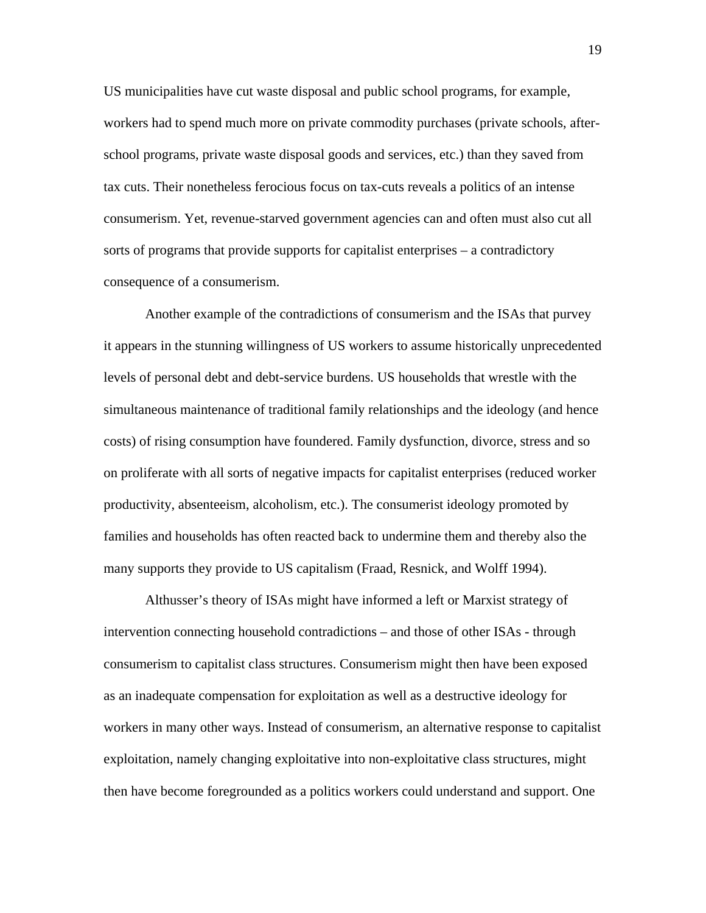US municipalities have cut waste disposal and public school programs, for example, workers had to spend much more on private commodity purchases (private schools, afterschool programs, private waste disposal goods and services, etc.) than they saved from tax cuts. Their nonetheless ferocious focus on tax-cuts reveals a politics of an intense consumerism. Yet, revenue-starved government agencies can and often must also cut all sorts of programs that provide supports for capitalist enterprises – a contradictory consequence of a consumerism.

Another example of the contradictions of consumerism and the ISAs that purvey it appears in the stunning willingness of US workers to assume historically unprecedented levels of personal debt and debt-service burdens. US households that wrestle with the simultaneous maintenance of traditional family relationships and the ideology (and hence costs) of rising consumption have foundered. Family dysfunction, divorce, stress and so on proliferate with all sorts of negative impacts for capitalist enterprises (reduced worker productivity, absenteeism, alcoholism, etc.). The consumerist ideology promoted by families and households has often reacted back to undermine them and thereby also the many supports they provide to US capitalism (Fraad, Resnick, and Wolff 1994).

Althusser's theory of ISAs might have informed a left or Marxist strategy of intervention connecting household contradictions – and those of other ISAs - through consumerism to capitalist class structures. Consumerism might then have been exposed as an inadequate compensation for exploitation as well as a destructive ideology for workers in many other ways. Instead of consumerism, an alternative response to capitalist exploitation, namely changing exploitative into non-exploitative class structures, might then have become foregrounded as a politics workers could understand and support. One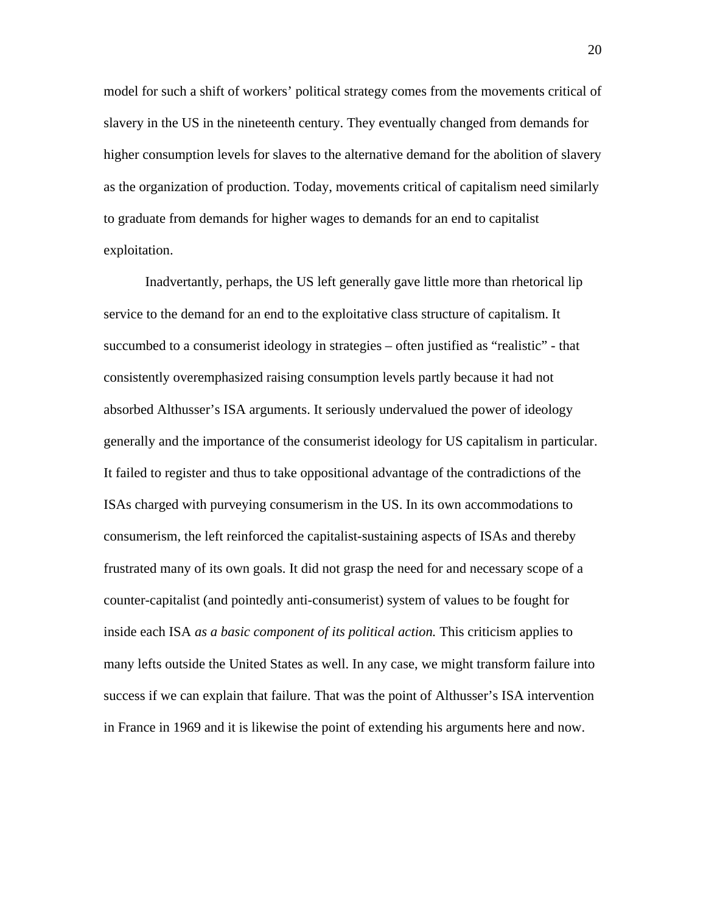model for such a shift of workers' political strategy comes from the movements critical of slavery in the US in the nineteenth century. They eventually changed from demands for higher consumption levels for slaves to the alternative demand for the abolition of slavery as the organization of production. Today, movements critical of capitalism need similarly to graduate from demands for higher wages to demands for an end to capitalist exploitation.

Inadvertantly, perhaps, the US left generally gave little more than rhetorical lip service to the demand for an end to the exploitative class structure of capitalism. It succumbed to a consumerist ideology in strategies – often justified as "realistic" - that consistently overemphasized raising consumption levels partly because it had not absorbed Althusser's ISA arguments. It seriously undervalued the power of ideology generally and the importance of the consumerist ideology for US capitalism in particular. It failed to register and thus to take oppositional advantage of the contradictions of the ISAs charged with purveying consumerism in the US. In its own accommodations to consumerism, the left reinforced the capitalist-sustaining aspects of ISAs and thereby frustrated many of its own goals. It did not grasp the need for and necessary scope of a counter-capitalist (and pointedly anti-consumerist) system of values to be fought for inside each ISA *as a basic component of its political action.* This criticism applies to many lefts outside the United States as well. In any case, we might transform failure into success if we can explain that failure. That was the point of Althusser's ISA intervention in France in 1969 and it is likewise the point of extending his arguments here and now.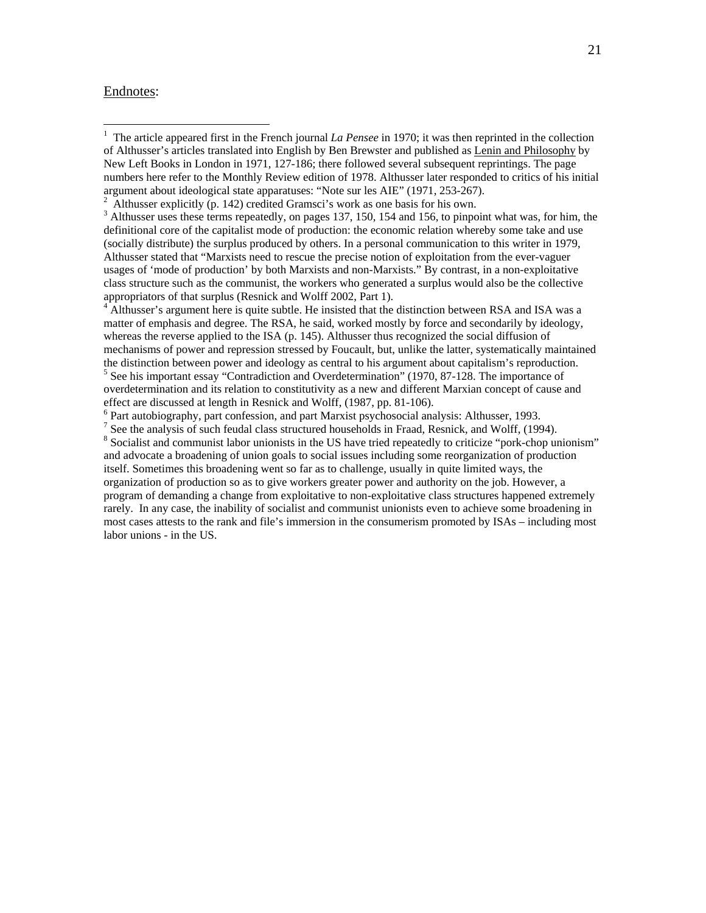#### Endnotes:

<sup>3</sup> Althusser uses these terms repeatedly, on pages 137, 150, 154 and 156, to pinpoint what was, for him, the definitional core of the capitalist mode of production: the economic relation whereby some take and use (socially distribute) the surplus produced by others. In a personal communication to this writer in 1979, Althusser stated that "Marxists need to rescue the precise notion of exploitation from the ever-vaguer usages of 'mode of production' by both Marxists and non-Marxists." By contrast, in a non-exploitative class structure such as the communist, the workers who generated a surplus would also be the collective appropriators of that surplus (Resnick and Wolff 2002, Part 1). 4

<sup>4</sup> Althusser's argument here is quite subtle. He insisted that the distinction between RSA and ISA was a matter of emphasis and degree. The RSA, he said, worked mostly by force and secondarily by ideology, whereas the reverse applied to the ISA (p. 145). Althusser thus recognized the social diffusion of mechanisms of power and repression stressed by Foucault, but, unlike the latter, systematically maintained the distinction between power and ideology as central to his argument about capitalism's reproduction. <sup>5</sup> See his important essay "Contradiction and Overdetermination" (1970, 87-128. The importance of overdetermination and its relation to constitutivity as a new and different Marxian concept of cause and effect are discussed at length in Resnick and Wolff, (1987, pp. 81-106).

<sup>6</sup> Part autobiography, part confession, and part Marxist psychosocial analysis: Althusser, 1993.

<sup>8</sup> Socialist and communist labor unionists in the US have tried repeatedly to criticize "pork-chop unionism" and advocate a broadening of union goals to social issues including some reorganization of production itself. Sometimes this broadening went so far as to challenge, usually in quite limited ways, the organization of production so as to give workers greater power and authority on the job. However, a program of demanding a change from exploitative to non-exploitative class structures happened extremely rarely. In any case, the inability of socialist and communist unionists even to achieve some broadening in most cases attests to the rank and file's immersion in the consumerism promoted by ISAs – including most labor unions - in the US.

<sup>&</sup>lt;sup>1</sup> The article appeared first in the French journal *La Pensee* in 1970; it was then reprinted in the collection of Althusser's articles translated into English by Ben Brewster and published as Lenin and Philosophy by New Left Books in London in 1971, 127-186; there followed several subsequent reprintings. The page numbers here refer to the Monthly Review edition of 1978. Althusser later responded to critics of his initial argument about ideological state apparatuses: "Note sur les AIE" (1971, 253-267). 2

Althusser explicitly (p. 142) credited Gramsci's work as one basis for his own.

<sup>&</sup>lt;sup>7</sup> See the analysis of such feudal class structured households in Fraad, Resnick, and Wolff, (1994).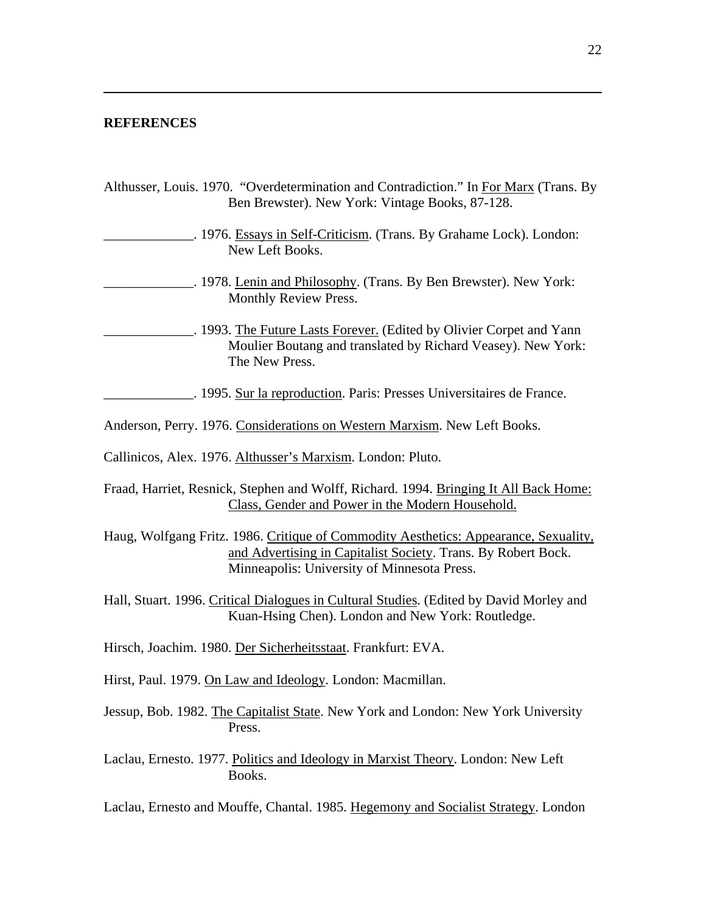### **REFERENCES**

 $\overline{a}$ 

| Althusser, Louis. 1970. "Overdetermination and Contradiction." In For Marx (Trans. By<br>Ben Brewster). New York: Vintage Books, 87-128.                                                             |
|------------------------------------------------------------------------------------------------------------------------------------------------------------------------------------------------------|
| . 1976. Essays in Self-Criticism. (Trans. By Grahame Lock). London:<br>New Left Books.                                                                                                               |
| . 1978. Lenin and Philosophy. (Trans. By Ben Brewster). New York:<br>Monthly Review Press.                                                                                                           |
| . 1993. The Future Lasts Forever. (Edited by Olivier Corpet and Yann<br>Moulier Boutang and translated by Richard Veasey). New York:<br>The New Press.                                               |
| . 1995. Sur la reproduction. Paris: Presses Universitaires de France.                                                                                                                                |
| Anderson, Perry. 1976. Considerations on Western Marxism. New Left Books.                                                                                                                            |
| Callinicos, Alex. 1976. Althusser's Marxism. London: Pluto.                                                                                                                                          |
| Fraad, Harriet, Resnick, Stephen and Wolff, Richard. 1994. Bringing It All Back Home:<br>Class, Gender and Power in the Modern Household.                                                            |
| Haug, Wolfgang Fritz. 1986. Critique of Commodity Aesthetics: Appearance, Sexuality,<br>and Advertising in Capitalist Society. Trans. By Robert Bock.<br>Minneapolis: University of Minnesota Press. |
| Hall, Stuart. 1996. Critical Dialogues in Cultural Studies. (Edited by David Morley and<br>Kuan-Hsing Chen). London and New York: Routledge.                                                         |
| Hirsch, Joachim. 1980. Der Sicherheitsstaat. Frankfurt: EVA.                                                                                                                                         |
| Hirst, Paul. 1979. On Law and Ideology. London: Macmillan.                                                                                                                                           |
| Jessup, Bob. 1982. The Capitalist State. New York and London: New York University<br>Press.                                                                                                          |
| Laclau, Ernesto. 1977. Politics and Ideology in Marxist Theory. London: New Left<br>Books.                                                                                                           |
| Laclau, Ernesto and Mouffe, Chantal. 1985. Hegemony and Socialist Strategy. London                                                                                                                   |

J.